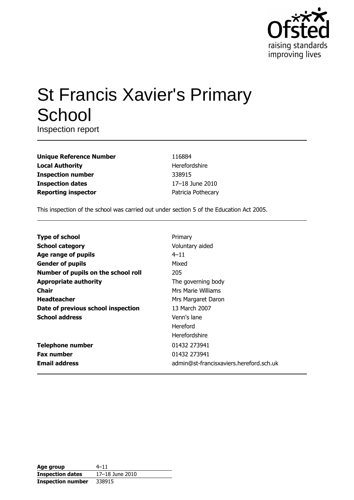

# **St Francis Xavier's Primary** School

Inspection report

| <b>Unique Reference Number</b> |
|--------------------------------|
| <b>Local Authority</b>         |
| <b>Inspection number</b>       |
| <b>Inspection dates</b>        |
| <b>Reporting inspector</b>     |

116884 Herefordshire 338915 17-18 June 2010 Patricia Pothecary

This inspection of the school was carried out under section 5 of the Education Act 2005.

| <b>Type of school</b>               | Primary                                 |
|-------------------------------------|-----------------------------------------|
| <b>School category</b>              | Voluntary aided                         |
| Age range of pupils                 | $4 - 11$                                |
| <b>Gender of pupils</b>             | Mixed                                   |
| Number of pupils on the school roll | 205                                     |
| <b>Appropriate authority</b>        | The governing body                      |
| Chair                               | Mrs Marie Williams                      |
| <b>Headteacher</b>                  | Mrs Margaret Daron                      |
| Date of previous school inspection  | 13 March 2007                           |
| <b>School address</b>               | Venn's lane                             |
|                                     | Hereford                                |
|                                     | Herefordshire                           |
| <b>Telephone number</b>             | 01432 273941                            |
| <b>Fax number</b>                   | 01432 273941                            |
| <b>Email address</b>                | admin@st-francisxaviers.hereford.sch.uk |

| Age group                | $4 - 11$        |
|--------------------------|-----------------|
| <b>Inspection dates</b>  | 17-18 June 2010 |
| <b>Inspection number</b> | 338915          |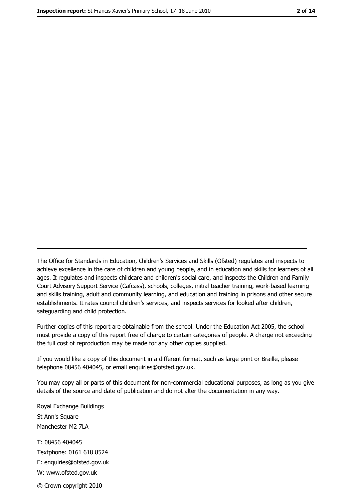The Office for Standards in Education, Children's Services and Skills (Ofsted) regulates and inspects to achieve excellence in the care of children and young people, and in education and skills for learners of all ages. It regulates and inspects childcare and children's social care, and inspects the Children and Family Court Advisory Support Service (Cafcass), schools, colleges, initial teacher training, work-based learning and skills training, adult and community learning, and education and training in prisons and other secure establishments. It rates council children's services, and inspects services for looked after children, safequarding and child protection.

Further copies of this report are obtainable from the school. Under the Education Act 2005, the school must provide a copy of this report free of charge to certain categories of people. A charge not exceeding the full cost of reproduction may be made for any other copies supplied.

If you would like a copy of this document in a different format, such as large print or Braille, please telephone 08456 404045, or email enquiries@ofsted.gov.uk.

You may copy all or parts of this document for non-commercial educational purposes, as long as you give details of the source and date of publication and do not alter the documentation in any way.

Royal Exchange Buildings St Ann's Square Manchester M2 7LA T: 08456 404045 Textphone: 0161 618 8524 E: enquiries@ofsted.gov.uk W: www.ofsted.gov.uk © Crown copyright 2010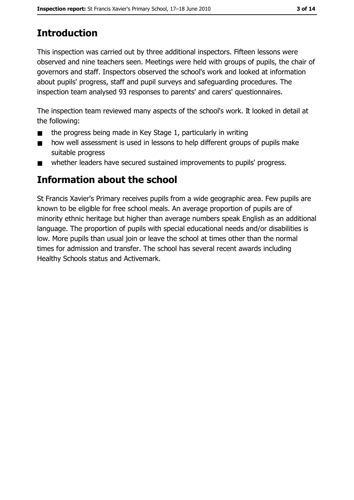# **Introduction**

This inspection was carried out by three additional inspectors. Fifteen lessons were observed and nine teachers seen. Meetings were held with groups of pupils, the chair of governors and staff. Inspectors observed the school's work and looked at information about pupils' progress, staff and pupil surveys and safeguarding procedures. The inspection team analysed 93 responses to parents' and carers' questionnaires.

The inspection team reviewed many aspects of the school's work. It looked in detail at the following:

- the progress being made in Key Stage 1, particularly in writing  $\blacksquare$
- how well assessment is used in lessons to help different groups of pupils make  $\blacksquare$ suitable progress
- whether leaders have secured sustained improvements to pupils' progress.  $\blacksquare$

# Information about the school

St Francis Xavier's Primary receives pupils from a wide geographic area. Few pupils are known to be eligible for free school meals. An average proportion of pupils are of minority ethnic heritage but higher than average numbers speak English as an additional language. The proportion of pupils with special educational needs and/or disabilities is low. More pupils than usual join or leave the school at times other than the normal times for admission and transfer. The school has several recent awards including Healthy Schools status and Activemark.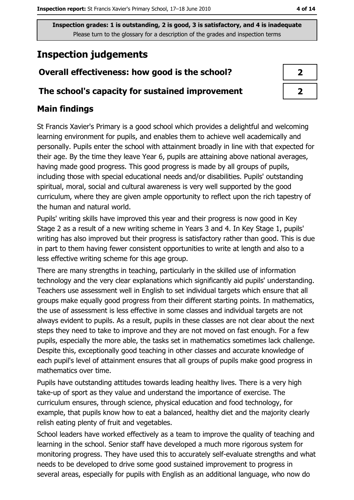# **Inspection judgements**

# Overall effectiveness: how good is the school?

### The school's capacity for sustained improvement

# **Main findings**

St Francis Xavier's Primary is a good school which provides a delightful and welcoming learning environment for pupils, and enables them to achieve well academically and personally. Pupils enter the school with attainment broadly in line with that expected for their age. By the time they leave Year 6, pupils are attaining above national averages, having made good progress. This good progress is made by all groups of pupils, including those with special educational needs and/or disabilities. Pupils' outstanding spiritual, moral, social and cultural awareness is very well supported by the good curriculum, where they are given ample opportunity to reflect upon the rich tapestry of the human and natural world.

Pupils' writing skills have improved this year and their progress is now good in Key Stage 2 as a result of a new writing scheme in Years 3 and 4. In Key Stage 1, pupils' writing has also improved but their progress is satisfactory rather than good. This is due in part to them having fewer consistent opportunities to write at length and also to a less effective writing scheme for this age group.

There are many strengths in teaching, particularly in the skilled use of information technology and the very clear explanations which significantly aid pupils' understanding. Teachers use assessment well in English to set individual targets which ensure that all groups make equally good progress from their different starting points. In mathematics, the use of assessment is less effective in some classes and individual targets are not always evident to pupils. As a result, pupils in these classes are not clear about the next steps they need to take to improve and they are not moved on fast enough. For a few pupils, especially the more able, the tasks set in mathematics sometimes lack challenge. Despite this, exceptionally good teaching in other classes and accurate knowledge of each pupil's level of attainment ensures that all groups of pupils make good progress in mathematics over time.

Pupils have outstanding attitudes towards leading healthy lives. There is a very high take-up of sport as they value and understand the importance of exercise. The curriculum ensures, through science, physical education and food technology, for example, that pupils know how to eat a balanced, healthy diet and the majority clearly relish eating plenty of fruit and vegetables.

School leaders have worked effectively as a team to improve the quality of teaching and learning in the school. Senior staff have developed a much more rigorous system for monitoring progress. They have used this to accurately self-evaluate strengths and what needs to be developed to drive some good sustained improvement to progress in several areas, especially for pupils with English as an additional language, who now do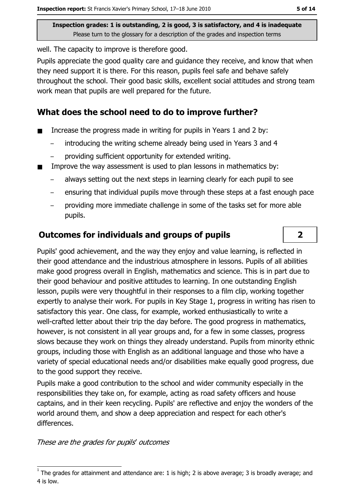well. The capacity to improve is therefore good.

Pupils appreciate the good quality care and guidance they receive, and know that when they need support it is there. For this reason, pupils feel safe and behave safely throughout the school. Their good basic skills, excellent social attitudes and strong team work mean that pupils are well prepared for the future.

## What does the school need to do to improve further?

- Increase the progress made in writing for pupils in Years 1 and 2 by:  $\blacksquare$ 
	- introducing the writing scheme already being used in Years 3 and 4
	- providing sufficient opportunity for extended writing.
- Improve the way assessment is used to plan lessons in mathematics by:
	- always setting out the next steps in learning clearly for each pupil to see
	- ensuring that individual pupils move through these steps at a fast enough pace
	- providing more immediate challenge in some of the tasks set for more able pupils.

## **Outcomes for individuals and groups of pupils**

Pupils' good achievement, and the way they enjoy and value learning, is reflected in their good attendance and the industrious atmosphere in lessons. Pupils of all abilities make good progress overall in English, mathematics and science. This is in part due to their good behaviour and positive attitudes to learning. In one outstanding English lesson, pupils were very thoughtful in their responses to a film clip, working together expertly to analyse their work. For pupils in Key Stage 1, progress in writing has risen to satisfactory this year. One class, for example, worked enthusiastically to write a well-crafted letter about their trip the day before. The good progress in mathematics, however, is not consistent in all year groups and, for a few in some classes, progress slows because they work on things they already understand. Pupils from minority ethnic groups, including those with English as an additional language and those who have a variety of special educational needs and/or disabilities make equally good progress, due to the good support they receive.

Pupils make a good contribution to the school and wider community especially in the responsibilities they take on, for example, acting as road safety officers and house captains, and in their keen recycling. Pupils' are reflective and enjoy the wonders of the world around them, and show a deep appreciation and respect for each other's differences.

These are the grades for pupils' outcomes

 $\overline{2}$ 

The grades for attainment and attendance are: 1 is high; 2 is above average; 3 is broadly average; and 4 is low.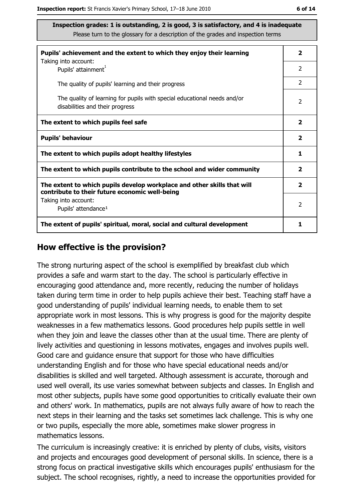| Pupils' achievement and the extent to which they enjoy their learning                                                     |                |  |  |
|---------------------------------------------------------------------------------------------------------------------------|----------------|--|--|
| Taking into account:<br>Pupils' attainment <sup>1</sup>                                                                   | 2              |  |  |
| The quality of pupils' learning and their progress                                                                        | $\overline{2}$ |  |  |
| The quality of learning for pupils with special educational needs and/or<br>disabilities and their progress               |                |  |  |
| The extent to which pupils feel safe                                                                                      |                |  |  |
| <b>Pupils' behaviour</b>                                                                                                  |                |  |  |
| The extent to which pupils adopt healthy lifestyles                                                                       |                |  |  |
| The extent to which pupils contribute to the school and wider community                                                   |                |  |  |
| The extent to which pupils develop workplace and other skills that will<br>contribute to their future economic well-being |                |  |  |
| Taking into account:                                                                                                      | $\mathcal{P}$  |  |  |
| Pupils' attendance <sup>1</sup>                                                                                           |                |  |  |
| The extent of pupils' spiritual, moral, social and cultural development                                                   |                |  |  |

#### How effective is the provision?

The strong nurturing aspect of the school is exemplified by breakfast club which provides a safe and warm start to the day. The school is particularly effective in encouraging good attendance and, more recently, reducing the number of holidays taken during term time in order to help pupils achieve their best. Teaching staff have a good understanding of pupils' individual learning needs, to enable them to set appropriate work in most lessons. This is why progress is good for the majority despite weaknesses in a few mathematics lessons. Good procedures help pupils settle in well when they join and leave the classes other than at the usual time. There are plenty of lively activities and questioning in lessons motivates, engages and involves pupils well. Good care and quidance ensure that support for those who have difficulties understanding English and for those who have special educational needs and/or disabilities is skilled and well targeted. Although assessment is accurate, thorough and used well overall, its use varies somewhat between subjects and classes. In English and most other subjects, pupils have some good opportunities to critically evaluate their own and others' work. In mathematics, pupils are not always fully aware of how to reach the next steps in their learning and the tasks set sometimes lack challenge. This is why one or two pupils, especially the more able, sometimes make slower progress in mathematics lessons.

The curriculum is increasingly creative: it is enriched by plenty of clubs, visits, visitors and projects and encourages good development of personal skills. In science, there is a strong focus on practical investigative skills which encourages pupils' enthusiasm for the subject. The school recognises, rightly, a need to increase the opportunities provided for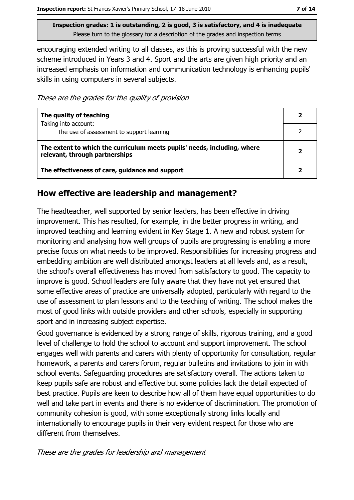encouraging extended writing to all classes, as this is proving successful with the new scheme introduced in Years 3 and 4. Sport and the arts are given high priority and an increased emphasis on information and communication technology is enhancing pupils' skills in using computers in several subjects.

These are the grades for the quality of provision

| The quality of teaching                                                                                    |                         |
|------------------------------------------------------------------------------------------------------------|-------------------------|
| Taking into account:<br>The use of assessment to support learning                                          |                         |
| The extent to which the curriculum meets pupils' needs, including, where<br>relevant, through partnerships | $\overline{\mathbf{2}}$ |
| The effectiveness of care, guidance and support                                                            |                         |

### How effective are leadership and management?

The headteacher, well supported by senior leaders, has been effective in driving improvement. This has resulted, for example, in the better progress in writing, and improved teaching and learning evident in Key Stage 1. A new and robust system for monitoring and analysing how well groups of pupils are progressing is enabling a more precise focus on what needs to be improved. Responsibilities for increasing progress and embedding ambition are well distributed amongst leaders at all levels and, as a result, the school's overall effectiveness has moved from satisfactory to good. The capacity to improve is good. School leaders are fully aware that they have not yet ensured that some effective areas of practice are universally adopted, particularly with regard to the use of assessment to plan lessons and to the teaching of writing. The school makes the most of good links with outside providers and other schools, especially in supporting sport and in increasing subject expertise.

Good governance is evidenced by a strong range of skills, rigorous training, and a good level of challenge to hold the school to account and support improvement. The school engages well with parents and carers with plenty of opportunity for consultation, regular homework, a parents and carers forum, regular bulletins and invitations to join in with school events. Safeguarding procedures are satisfactory overall. The actions taken to keep pupils safe are robust and effective but some policies lack the detail expected of best practice. Pupils are keen to describe how all of them have equal opportunities to do well and take part in events and there is no evidence of discrimination. The promotion of community cohesion is good, with some exceptionally strong links locally and internationally to encourage pupils in their very evident respect for those who are different from themselves.

These are the grades for leadership and management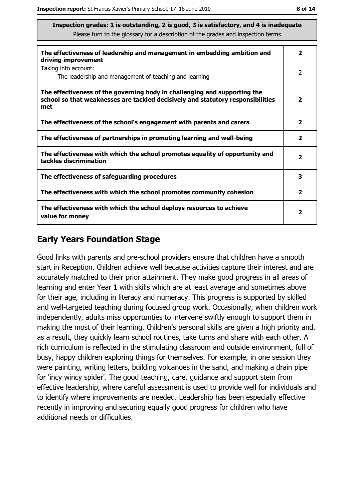| The effectiveness of leadership and management in embedding ambition and<br>driving improvement                                                                     | $\overline{\mathbf{2}}$ |
|---------------------------------------------------------------------------------------------------------------------------------------------------------------------|-------------------------|
| Taking into account:<br>The leadership and management of teaching and learning                                                                                      | $\overline{2}$          |
| The effectiveness of the governing body in challenging and supporting the<br>school so that weaknesses are tackled decisively and statutory responsibilities<br>met | 2                       |
| The effectiveness of the school's engagement with parents and carers                                                                                                | $\overline{\mathbf{2}}$ |
| The effectiveness of partnerships in promoting learning and well-being                                                                                              | $\overline{2}$          |
| The effectiveness with which the school promotes equality of opportunity and<br>tackles discrimination                                                              | 2                       |
| The effectiveness of safeguarding procedures                                                                                                                        | 3                       |
| The effectiveness with which the school promotes community cohesion                                                                                                 | $\mathbf{2}$            |
| The effectiveness with which the school deploys resources to achieve<br>value for money                                                                             | $\mathbf{2}$            |

## **Early Years Foundation Stage**

Good links with parents and pre-school providers ensure that children have a smooth start in Reception. Children achieve well because activities capture their interest and are accurately matched to their prior attainment. They make good progress in all areas of learning and enter Year 1 with skills which are at least average and sometimes above for their age, including in literacy and numeracy. This progress is supported by skilled and well-targeted teaching during focused group work. Occasionally, when children work independently, adults miss opportunties to intervene swiftly enough to support them in making the most of their learning. Children's personal skills are given a high priority and, as a result, they quickly learn school routines, take turns and share with each other. A rich curriculum is reflected in the stimulating classroom and outside environment, full of busy, happy children exploring things for themselves. For example, in one session they were painting, writing letters, building volcanoes in the sand, and making a drain pipe for 'incy wincy spider'. The good teaching, care, guidance and support stem from effective leadership, where careful assessment is used to provide well for individuals and to identify where improvements are needed. Leadership has been especially effective recently in improving and securing equally good progress for children who have additional needs or difficulties.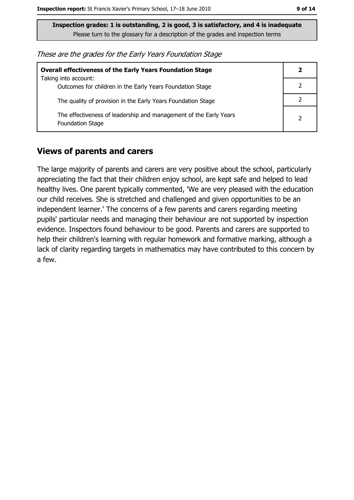| These are the grades for the Early Years Foundation Stage |  |  |
|-----------------------------------------------------------|--|--|
|-----------------------------------------------------------|--|--|

| <b>Overall effectiveness of the Early Years Foundation Stage</b>                             | 2 |
|----------------------------------------------------------------------------------------------|---|
| Taking into account:<br>Outcomes for children in the Early Years Foundation Stage            |   |
| The quality of provision in the Early Years Foundation Stage                                 |   |
| The effectiveness of leadership and management of the Early Years<br><b>Foundation Stage</b> | 2 |

## **Views of parents and carers**

The large majority of parents and carers are very positive about the school, particularly appreciating the fact that their children enjoy school, are kept safe and helped to lead healthy lives. One parent typically commented, 'We are very pleased with the education our child receives. She is stretched and challenged and given opportunities to be an independent learner.' The concerns of a few parents and carers regarding meeting pupils' particular needs and managing their behaviour are not supported by inspection evidence. Inspectors found behaviour to be good. Parents and carers are supported to help their children's learning with regular homework and formative marking, although a lack of clarity regarding targets in mathematics may have contributed to this concern by a few.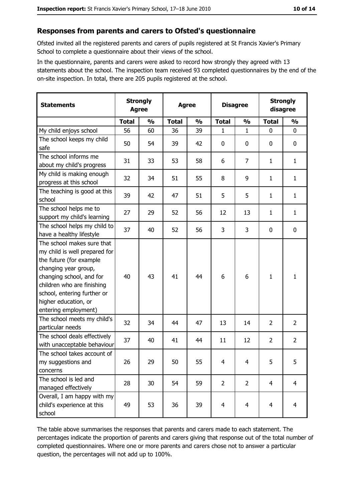#### Responses from parents and carers to Ofsted's questionnaire

Ofsted invited all the registered parents and carers of pupils registered at St Francis Xavier's Primary School to complete a questionnaire about their views of the school.

In the questionnaire, parents and carers were asked to record how strongly they agreed with 13 statements about the school. The inspection team received 93 completed questionnaires by the end of the on-site inspection. In total, there are 205 pupils registered at the school.

| <b>Statements</b>                                                                                                                                                                                                                                       | <b>Agree</b> | <b>Strongly</b> | <b>Agree</b> |               | <b>Disagree</b> |                | <b>Strongly</b><br>disagree |                |
|---------------------------------------------------------------------------------------------------------------------------------------------------------------------------------------------------------------------------------------------------------|--------------|-----------------|--------------|---------------|-----------------|----------------|-----------------------------|----------------|
|                                                                                                                                                                                                                                                         | <b>Total</b> | $\frac{1}{2}$   | <b>Total</b> | $\frac{0}{0}$ | <b>Total</b>    | $\frac{0}{0}$  | <b>Total</b>                | $\frac{1}{2}$  |
| My child enjoys school                                                                                                                                                                                                                                  | 56           | 60              | 36           | 39            | 1               | $\mathbf{1}$   | $\mathbf 0$                 | $\mathbf 0$    |
| The school keeps my child<br>safe                                                                                                                                                                                                                       | 50           | 54              | 39           | 42            | $\bf{0}$        | 0              | 0                           | 0              |
| The school informs me<br>about my child's progress                                                                                                                                                                                                      | 31           | 33              | 53           | 58            | 6               | $\overline{7}$ | 1                           | $\mathbf{1}$   |
| My child is making enough<br>progress at this school                                                                                                                                                                                                    | 32           | 34              | 51           | 55            | 8               | 9              | 1                           | $\mathbf{1}$   |
| The teaching is good at this<br>school                                                                                                                                                                                                                  | 39           | 42              | 47           | 51            | 5               | 5              | 1                           | $\mathbf{1}$   |
| The school helps me to<br>support my child's learning                                                                                                                                                                                                   | 27           | 29              | 52           | 56            | 12              | 13             | $\mathbf{1}$                | $\mathbf{1}$   |
| The school helps my child to<br>have a healthy lifestyle                                                                                                                                                                                                | 37           | 40              | 52           | 56            | 3               | 3              | 0                           | 0              |
| The school makes sure that<br>my child is well prepared for<br>the future (for example<br>changing year group,<br>changing school, and for<br>children who are finishing<br>school, entering further or<br>higher education, or<br>entering employment) | 40           | 43              | 41           | 44            | 6               | 6              | 1                           | $\mathbf{1}$   |
| The school meets my child's<br>particular needs                                                                                                                                                                                                         | 32           | 34              | 44           | 47            | 13              | 14             | 2                           | $\overline{2}$ |
| The school deals effectively<br>with unacceptable behaviour                                                                                                                                                                                             | 37           | 40              | 41           | 44            | 11              | 12             | $\overline{2}$              | $\overline{2}$ |
| The school takes account of<br>my suggestions and<br>concerns                                                                                                                                                                                           | 26           | 29              | 50           | 55            | $\overline{4}$  | 4              | 5                           | 5              |
| The school is led and<br>managed effectively                                                                                                                                                                                                            | 28           | 30              | 54           | 59            | $\overline{2}$  | $\overline{2}$ | $\overline{4}$              | $\overline{4}$ |
| Overall, I am happy with my<br>child's experience at this<br>school                                                                                                                                                                                     | 49           | 53              | 36           | 39            | $\overline{4}$  | 4              | $\overline{4}$              | 4              |

The table above summarises the responses that parents and carers made to each statement. The percentages indicate the proportion of parents and carers giving that response out of the total number of completed questionnaires. Where one or more parents and carers chose not to answer a particular question, the percentages will not add up to 100%.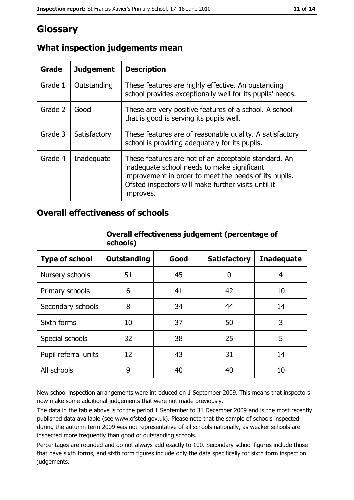# Glossary

| Grade   | <b>Judgement</b> | <b>Description</b>                                                                                                                                                                                                               |
|---------|------------------|----------------------------------------------------------------------------------------------------------------------------------------------------------------------------------------------------------------------------------|
| Grade 1 | Outstanding      | These features are highly effective. An oustanding<br>school provides exceptionally well for its pupils' needs.                                                                                                                  |
| Grade 2 | Good             | These are very positive features of a school. A school<br>that is good is serving its pupils well.                                                                                                                               |
| Grade 3 | Satisfactory     | These features are of reasonable quality. A satisfactory<br>school is providing adequately for its pupils.                                                                                                                       |
| Grade 4 | Inadequate       | These features are not of an acceptable standard. An<br>inadequate school needs to make significant<br>improvement in order to meet the needs of its pupils.<br>Ofsted inspectors will make further visits until it<br>improves. |

# What inspection judgements mean

### **Overall effectiveness of schools**

|                       | Overall effectiveness judgement (percentage of<br>schools) |      |                     |                   |  |
|-----------------------|------------------------------------------------------------|------|---------------------|-------------------|--|
| <b>Type of school</b> | <b>Outstanding</b>                                         | Good | <b>Satisfactory</b> | <b>Inadequate</b> |  |
| Nursery schools       | 51                                                         | 45   | 0                   | 4                 |  |
| Primary schools       | 6                                                          | 41   | 42                  | 10                |  |
| Secondary schools     | 8                                                          | 34   | 44                  | 14                |  |
| Sixth forms           | 10                                                         | 37   | 50                  | 3                 |  |
| Special schools       | 32                                                         | 38   | 25                  | 5                 |  |
| Pupil referral units  | 12                                                         | 43   | 31                  | 14                |  |
| All schools           | 9                                                          | 40   | 40                  | 10                |  |

New school inspection arrangements were introduced on 1 September 2009. This means that inspectors now make some additional judgements that were not made previously.

The data in the table above is for the period 1 September to 31 December 2009 and is the most recently published data available (see www.ofsted.gov.uk). Please note that the sample of schools inspected during the autumn term 2009 was not representative of all schools nationally, as weaker schools are inspected more frequently than good or outstanding schools.

Percentages are rounded and do not always add exactly to 100. Secondary school figures include those that have sixth forms, and sixth form figures include only the data specifically for sixth form inspection judgements.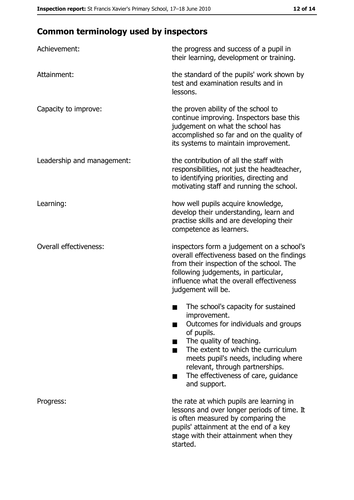# **Common terminology used by inspectors**

| Achievement:                  | the progress and success of a pupil in<br>their learning, development or training.                                                                                                                                                                                                                           |
|-------------------------------|--------------------------------------------------------------------------------------------------------------------------------------------------------------------------------------------------------------------------------------------------------------------------------------------------------------|
| Attainment:                   | the standard of the pupils' work shown by<br>test and examination results and in<br>lessons.                                                                                                                                                                                                                 |
| Capacity to improve:          | the proven ability of the school to<br>continue improving. Inspectors base this<br>judgement on what the school has<br>accomplished so far and on the quality of<br>its systems to maintain improvement.                                                                                                     |
| Leadership and management:    | the contribution of all the staff with<br>responsibilities, not just the headteacher,<br>to identifying priorities, directing and<br>motivating staff and running the school.                                                                                                                                |
| Learning:                     | how well pupils acquire knowledge,<br>develop their understanding, learn and<br>practise skills and are developing their<br>competence as learners.                                                                                                                                                          |
| <b>Overall effectiveness:</b> | inspectors form a judgement on a school's<br>overall effectiveness based on the findings<br>from their inspection of the school. The<br>following judgements, in particular,<br>influence what the overall effectiveness<br>judgement will be.                                                               |
|                               | The school's capacity for sustained<br>improvement.<br>Outcomes for individuals and groups<br>of pupils.<br>The quality of teaching.<br>The extent to which the curriculum<br>meets pupil's needs, including where<br>relevant, through partnerships.<br>The effectiveness of care, guidance<br>and support. |
| Progress:                     | the rate at which pupils are learning in<br>lessons and over longer periods of time. It<br>is often measured by comparing the<br>pupils' attainment at the end of a key<br>stage with their attainment when they<br>started.                                                                                 |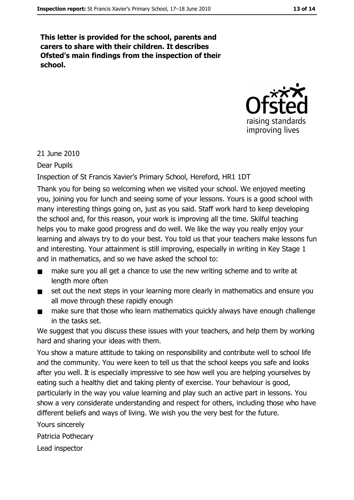This letter is provided for the school, parents and carers to share with their children. It describes Ofsted's main findings from the inspection of their school.



21 June 2010

**Dear Pupils** 

Inspection of St Francis Xavier's Primary School, Hereford, HR1 1DT

Thank you for being so welcoming when we visited your school. We enjoyed meeting you, joining you for lunch and seeing some of your lessons. Yours is a good school with many interesting things going on, just as you said. Staff work hard to keep developing the school and, for this reason, your work is improving all the time. Skilful teaching helps you to make good progress and do well. We like the way you really enjoy your learning and always try to do your best. You told us that your teachers make lessons fun and interesting. Your attainment is still improving, especially in writing in Key Stage 1 and in mathematics, and so we have asked the school to:

- make sure you all get a chance to use the new writing scheme and to write at  $\blacksquare$ length more often
- set out the next steps in your learning more clearly in mathematics and ensure you  $\blacksquare$ all move through these rapidly enough
- make sure that those who learn mathematics quickly always have enough challenge in the tasks set.

We suggest that you discuss these issues with your teachers, and help them by working hard and sharing your ideas with them.

You show a mature attitude to taking on responsibility and contribute well to school life and the community. You were keen to tell us that the school keeps you safe and looks after you well. It is especially impressive to see how well you are helping yourselves by eating such a healthy diet and taking plenty of exercise. Your behaviour is good, particularly in the way you value learning and play such an active part in lessons. You show a very considerate understanding and respect for others, including those who have different beliefs and ways of living. We wish you the very best for the future.

Yours sincerely

Patricia Pothecary

Lead inspector